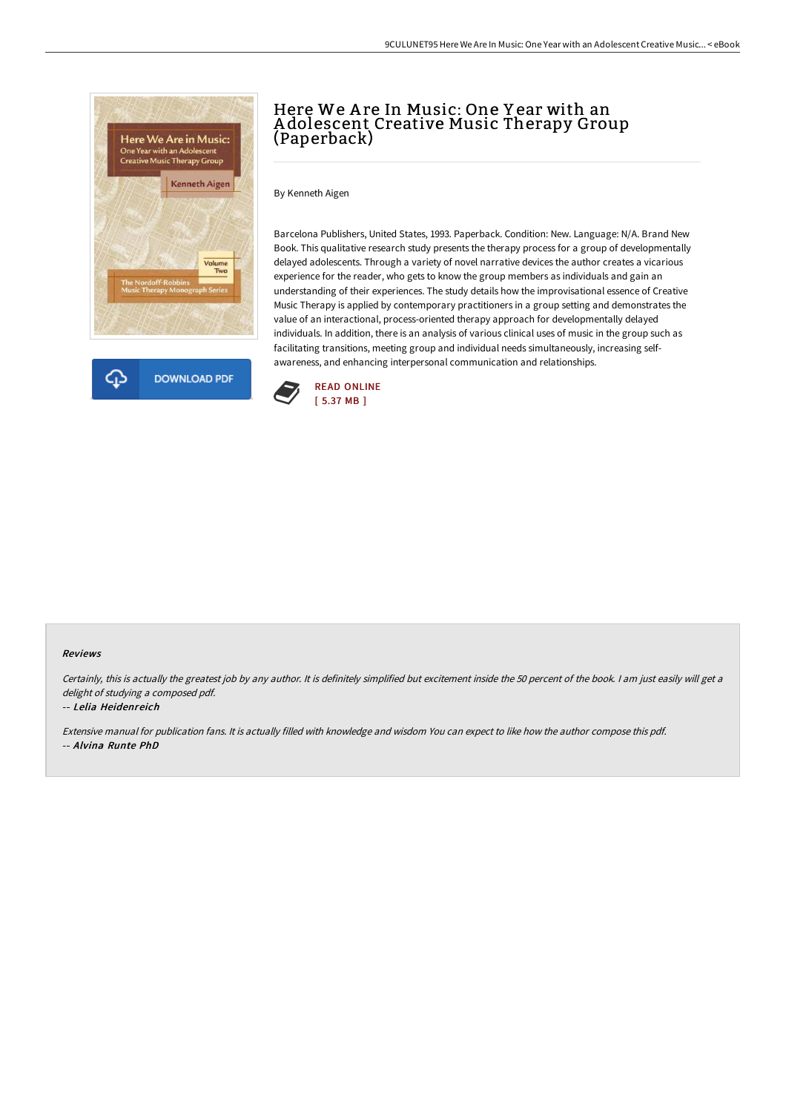



# Here We A re In Music: One Y ear with an A dolescent Creative Music Therapy Group (Paperback)

By Kenneth Aigen

Barcelona Publishers, United States, 1993. Paperback. Condition: New. Language: N/A. Brand New Book. This qualitative research study presents the therapy process for a group of developmentally delayed adolescents. Through a variety of novel narrative devices the author creates a vicarious experience for the reader, who gets to know the group members as individuals and gain an understanding of their experiences. The study details how the improvisational essence of Creative Music Therapy is applied by contemporary practitioners in a group setting and demonstrates the value of an interactional, process-oriented therapy approach for developmentally delayed individuals. In addition, there is an analysis of various clinical uses of music in the group such as facilitating transitions, meeting group and individual needs simultaneously, increasing selfawareness, and enhancing interpersonal communication and relationships.



#### Reviews

Certainly, this is actually the greatest job by any author. It is definitely simplified but excitement inside the 50 percent of the book. I am just easily will get a delight of studying <sup>a</sup> composed pdf.

### -- Lelia Heidenreich

Extensive manual for publication fans. It is actually filled with knowledge and wisdom You can expect to like how the author compose this pdf. -- Alvina Runte PhD